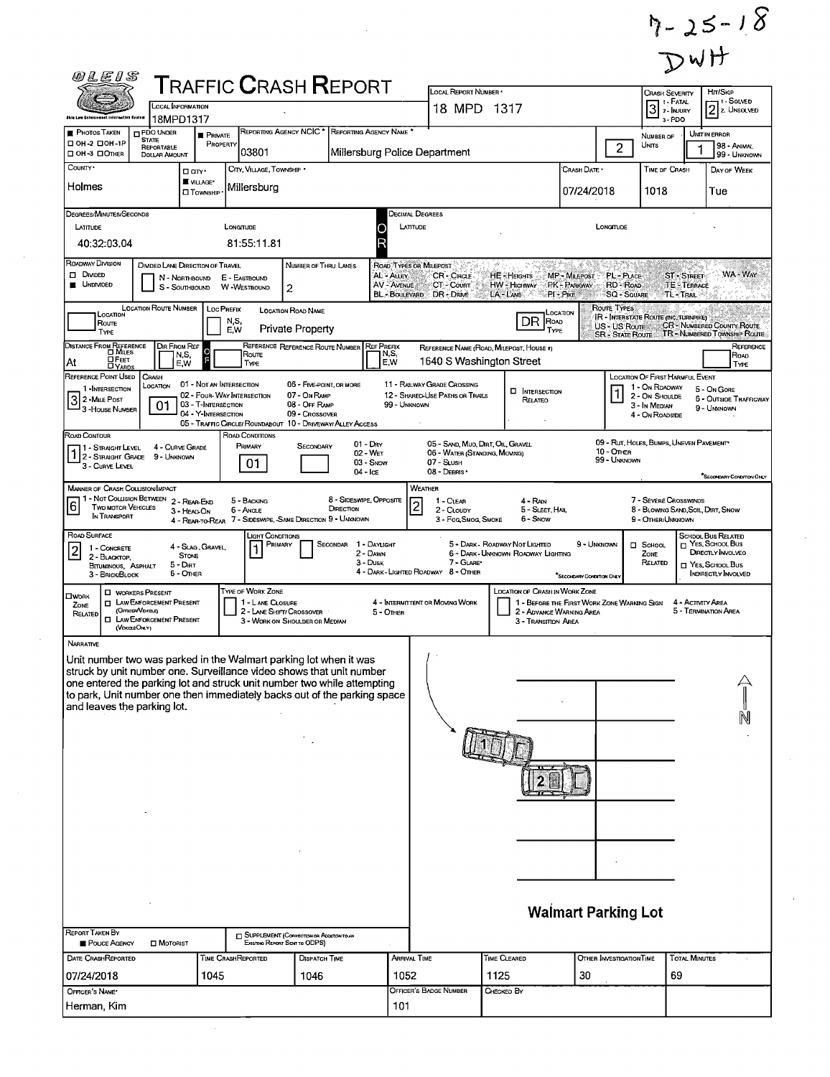$7 - 25 - 18$ <br>DWH

| 0LE   S                                                                                                                                                                                                                                                     |                                                              |                                                        |                                              |                                                                           |                                      |                                      |                                                                |              |                                                                               |                           |                                          | ↝                                                      |                      |                                                            |
|-------------------------------------------------------------------------------------------------------------------------------------------------------------------------------------------------------------------------------------------------------------|--------------------------------------------------------------|--------------------------------------------------------|----------------------------------------------|---------------------------------------------------------------------------|--------------------------------------|--------------------------------------|----------------------------------------------------------------|--------------|-------------------------------------------------------------------------------|---------------------------|------------------------------------------|--------------------------------------------------------|----------------------|------------------------------------------------------------|
|                                                                                                                                                                                                                                                             | <b>TRAFFIC CRASH REPORT</b><br><b>LOCAL INFORMATION</b>      |                                                        |                                              |                                                                           |                                      |                                      | LOCAL REPORT NUMBER<br>18 MPD 1317                             |              |                                                                               |                           |                                          | <b>CRASH SEVERITY</b><br>1 - Fatal<br>$3$ 2- $k$       |                      | Hrt/Skip<br>- 1 - Solved                                   |
| <b>Shin Low Enforcement Information System</b>                                                                                                                                                                                                              | 18MPD1317                                                    |                                                        |                                              |                                                                           |                                      |                                      |                                                                |              |                                                                               |                           |                                          |                                                        | 3-PDO                | $2 z$ Unsolved                                             |
| <b>PHOTOS TAKEN</b><br>OH-2 DOH-1P                                                                                                                                                                                                                          | PDO UNDER<br><b>STATE</b><br><b>REPORTABLE</b>               | <b>PRIVATE</b><br>PROPERTY                             |                                              | REPORTING AGENCY NCIC * REPORTING AGENCY NAME "                           |                                      |                                      |                                                                |              |                                                                               |                           |                                          | NUMBER OF<br>UNITS                                     |                      | UNIT IN ERROR<br>98 - ANIMAL                               |
| □ OH -3 □ OTHER                                                                                                                                                                                                                                             | <b>DOLLAR AMOUNT</b>                                         |                                                        | 03801                                        |                                                                           |                                      |                                      | Millersburg Police Department                                  |              |                                                                               |                           | $\overline{2}$                           |                                                        |                      | 99 - UNKNOWN                                               |
| COUNTY <sup>.</sup>                                                                                                                                                                                                                                         | □ arv·                                                       | <b>WILLAGE*</b>                                        | CITY, VILLAGE, TOWNSHIP .                    |                                                                           |                                      |                                      |                                                                |              |                                                                               | Crash Date *              |                                          | <b>TIME OF CRASH</b>                                   |                      | DAY OF WEEK                                                |
| Holmes                                                                                                                                                                                                                                                      |                                                              | <b>I</b> TOWNSHIP                                      | Millersburg                                  |                                                                           |                                      |                                      |                                                                |              |                                                                               | 07/24/2018                |                                          | 1018                                                   |                      | Tue                                                        |
| DEGREES/MINUTES/SECONDS                                                                                                                                                                                                                                     |                                                              |                                                        |                                              |                                                                           |                                      |                                      | Decimal Degrees                                                |              |                                                                               |                           |                                          |                                                        |                      |                                                            |
| LATITUDE                                                                                                                                                                                                                                                    |                                                              |                                                        | LONGTUDE                                     |                                                                           |                                      | LATITUDE<br>О                        |                                                                |              |                                                                               |                           | <b>LONGITUDE</b>                         |                                                        |                      |                                                            |
| 40:32:03.04                                                                                                                                                                                                                                                 |                                                              |                                                        | 81:55:11.81                                  |                                                                           |                                      |                                      |                                                                |              |                                                                               |                           |                                          |                                                        |                      |                                                            |
| ROADWAY DIVISION<br>$\Box$ Divided                                                                                                                                                                                                                          | DIMDED LANE DIRECTION OF TRAVEL<br>N - NORTHBOUND            |                                                        | E - EASTBOUND                                | NUMBER OF THRU LANES                                                      |                                      | ROAD TYPES OR MILEPOST<br>AL - ALLEY | <b>CR-CIRCLE</b>                                               | HE-HEIGHTS   |                                                                               | MP - MILEPOST             | PL-PLACE                                 |                                                        | <b>ST - STREET</b>   | WA - Way                                                   |
| <b>UNDIVIDED</b><br><b>AV - AVENUE</b><br><b>PK-PARKWAY</b><br>CT COURT<br>HW - Highway<br><b>RD ROAD</b><br><b>TE-TERRACE</b><br>W-WESTBOUND<br>S - SOUTHBOUND<br>2<br>BL - BOULEVARD DR - DRIVE<br>LA - LANE<br>PI PIKE<br><b>SQ - SOUARE</b><br>TL-TRAIL |                                                              |                                                        |                                              |                                                                           |                                      |                                      |                                                                |              |                                                                               |                           |                                          |                                                        |                      |                                                            |
| LOCATION                                                                                                                                                                                                                                                    | <b>LOCATION ROUTE NUMBER</b>                                 | <b>LOC PREFIX</b>                                      |                                              | LOCATION ROAD NAME                                                        |                                      |                                      |                                                                |              |                                                                               | Location                  | ROUTE TYPES                              | <b>IR - INTERSTATE ROUTE (INC. TURNPIKE)</b>           |                      |                                                            |
| Route<br>TYPE                                                                                                                                                                                                                                               |                                                              | N,S,<br>E.W                                            |                                              | <b>Private Property</b>                                                   |                                      |                                      |                                                                |              | DR<br>ROAD<br>TYPE                                                            |                           | US - US Route<br><b>SR - STATE ROUTE</b> |                                                        |                      | CR - NUMBERED COUNTY ROUTE<br>TR - NUMBERED TOWNSHIP ROUTE |
| Distance From Reference<br>Dimiles                                                                                                                                                                                                                          | $\frac{\text{DirFrom Ref}}{\text{N.S.}}$                     |                                                        | Route                                        | REFERENCE REFERENCE ROUTE NUMBER                                          |                                      | <b>REF PREFIX</b><br>N,S,            | REFERENCE NAME (ROAD, MILEPOST, HOUSE #)                       |              |                                                                               |                           |                                          |                                                        |                      | REFERENCE<br>ROAD                                          |
| <b>OFEET</b><br>At<br><b>DYARDS</b>                                                                                                                                                                                                                         | E,W                                                          |                                                        | TYPE                                         |                                                                           |                                      | E W                                  | 1640 S Washington Street                                       |              |                                                                               |                           |                                          |                                                        |                      | TYPE                                                       |
| REFERENCE POINT USED<br>1 - INTERSECTION                                                                                                                                                                                                                    | CRASH<br>LOCATION                                            | 01 - Not an Intersection<br>02 - FOUR-WAY INTERSECTION |                                              | 06 - FIVE-POINT, OR MORE<br>07 - On RAMP                                  |                                      |                                      | 11 - RAILWAY GRADE CROSSING<br>12 - SHARED-USE PATHS OR TRAILS |              | <b>D</b> INTERSECTION                                                         |                           |                                          | LOCATION OF FIRST HARMFUL EVENT<br>1 - On ROADWAY      |                      | 5 - On Gore                                                |
| 3 2 - Mile Post<br>3 - HOUSE NUMBER                                                                                                                                                                                                                         | 01                                                           | 03 - T-INTERSECTION<br>04 - Y-INTERSECTION             |                                              | 08 - OFF RAMP<br>09 - Crossover                                           |                                      | 99 - UNKNOWN                         |                                                                |              | RELATEO                                                                       |                           |                                          | 2 - On Shoulde<br>3 - In Median                        |                      | <b>6 - OUTSIDE TRAFFICWAY</b><br>9 - UNKNOWN               |
|                                                                                                                                                                                                                                                             |                                                              |                                                        |                                              | 05 - TRAFFIC CIRCLE/ ROUNDABOUT 10 - DRIVEWAY/ ALLEY ACCESS               |                                      |                                      |                                                                |              |                                                                               |                           |                                          | 4 - On ROADSIDE                                        |                      |                                                            |
| ROAD CONTOUR<br>1 - STRAIGHT LEVEL 4 - CURVE GR<br>1 2 - STRAIGHT GRADE 9 - UNKNOWN                                                                                                                                                                         | 4 - CURVE GRADE                                              |                                                        | ROAD CONDITIONS<br>PRIMARY                   | SECONDARY                                                                 |                                      | $01 - \text{Day}$<br>$02 - WFT$      | 05 - SAND, MUO, DIRT, OIL, GRAVEL                              |              |                                                                               |                           | 10 - OTHER                               | 09 - Rut, HOLES, BUMPS, UNEVEN PAVEMENT*               |                      |                                                            |
| 3 - CURVE LEVEL                                                                                                                                                                                                                                             |                                                              |                                                        | 01.                                          |                                                                           | $04 -$ IcE                           | 03 - Snow                            | 06 - WATER (STANDING, MOVING)<br>07 - SLUSH<br>08 - DEBRIS     |              |                                                                               |                           | 99 - Unknown                             |                                                        |                      |                                                            |
| <b>MANNER OF CRASH COLLISION/IMPACT</b>                                                                                                                                                                                                                     |                                                              |                                                        |                                              |                                                                           |                                      |                                      | WEATHER                                                        |              |                                                                               |                           |                                          |                                                        |                      | "SECONDARY CONDITION ONLY                                  |
| 6<br>TWO MOTOR VEHICLES                                                                                                                                                                                                                                     | 1 - Not Collision Between 2 - Rear-End                       |                                                        | 5 - BACKING                                  |                                                                           | 8 - SIDESWIPE, OPPOSITE<br>DIRECTION |                                      | 1 - CLEAR<br>$\overline{2}$                                    |              | 4 - Ran                                                                       |                           |                                          | 7 - SEVERE CROSSWINDS                                  |                      |                                                            |
| IN TRANSPORT                                                                                                                                                                                                                                                | 3 - HEAD ON                                                  |                                                        | 6 ANGLE                                      | 4 - REAR-TO-REAR 7 - SIDESWIPE, SAME DIRECTION 9 - UNKNOWN                |                                      |                                      | 2 - CLOUDY<br>3 - Fog Smog, Smoke                              |              | 5 - Sleet, Hall<br>6 - Snow                                                   |                           |                                          | 8 - BLOWING SAND SOIL, DIRT, SNOW<br>9 - OTHER/UNKNOWN |                      |                                                            |
| ROAD SURFACE<br>1 - CONCRETE                                                                                                                                                                                                                                |                                                              | 4 - Slag, Gravel,                                      | Light Conditions<br>Primary                  |                                                                           | <b>SECONDAR</b>                      | 1 - DAYLIGHT                         |                                                                |              | 5 - DARK - ROADWAY NOT LIGHTED                                                | 9 - UNKNOWN               |                                          | <b>D</b> SCHOOL                                        |                      | <b>SCHOOL BUS RELATED</b><br>$\Box$ Yes, School Bus        |
| $ 2\rangle$<br>2 BLACKTOP<br>BITUMINOUS, ASPHALT                                                                                                                                                                                                            | <b>STONE</b><br>5 Dat                                        |                                                        | 1                                            |                                                                           |                                      | 2 - DAWN<br>3 - Dusk                 | 7 - GLARE*                                                     |              | 6 - DARK - UNKNOWN ROADWAY LIGHTING                                           |                           |                                          | ZONE<br>RELATED                                        |                      | DIRECTLY INVOLVED<br>T YES, SCHOOL Bus                     |
| 3 - BRICK/BLOCK                                                                                                                                                                                                                                             | 6 - OTHER                                                    |                                                        |                                              |                                                                           |                                      |                                      | 4 - DARK - LIGHTED ROADWAY 8 - OTHER                           |              |                                                                               | "SECONDARY CONDITION ONLY |                                          |                                                        |                      | NDIRECTLY INVOLVED                                         |
| <b>OWORK</b><br>ZONE                                                                                                                                                                                                                                        | <b>D</b> WORKERS PRESENT<br><b>I LAW ENFORCEMENT PRESENT</b> |                                                        | <b>TYPE OF WORK ZONE</b><br>1 - LANE CLOSURE |                                                                           |                                      |                                      | 4 - INTERMITTENT OR MOVING WORK                                |              | LOCATION OF CRASH IN WORK ZONE<br>1 - BEFORE THE FIRST WORK ZONE WARNING SIGN |                           |                                          |                                                        | 4 - ACTIVITY AREA    |                                                            |
| RELATED                                                                                                                                                                                                                                                     | (OFFICENVENICLE)<br><b>I LAW ENFORCEMENT PRESENT</b>         |                                                        |                                              | 2 - LANE SHIFT/ CROSSOVER<br>3 - WORK ON SHOULDER OR MEDIAN               |                                      | $5 -$ Other                          |                                                                |              | 2 - ADVANCE WARNING AREA<br>3 - Transition Area                               |                           |                                          |                                                        |                      | 5 - TERMINATION AREA                                       |
| NARRATIVE                                                                                                                                                                                                                                                   | (VENICLEOMLY)                                                |                                                        |                                              |                                                                           |                                      |                                      |                                                                |              |                                                                               |                           |                                          |                                                        |                      |                                                            |
| Unit number two was parked in the Walmart parking lot when it was                                                                                                                                                                                           |                                                              |                                                        |                                              |                                                                           |                                      |                                      |                                                                |              |                                                                               |                           |                                          |                                                        |                      |                                                            |
| struck by unit number one. Surveillance video shows that unit number<br>one entered the parking lot and struck unit number two while attempting                                                                                                             |                                                              |                                                        |                                              |                                                                           |                                      |                                      |                                                                |              |                                                                               |                           |                                          |                                                        |                      |                                                            |
| to park, Unit number one then immediately backs out of the parking space                                                                                                                                                                                    |                                                              |                                                        |                                              |                                                                           |                                      |                                      |                                                                |              |                                                                               |                           |                                          |                                                        |                      |                                                            |
| and leaves the parking lot.                                                                                                                                                                                                                                 |                                                              |                                                        |                                              |                                                                           |                                      |                                      |                                                                |              |                                                                               |                           |                                          |                                                        |                      |                                                            |
|                                                                                                                                                                                                                                                             |                                                              |                                                        |                                              |                                                                           |                                      |                                      |                                                                |              |                                                                               |                           |                                          |                                                        |                      |                                                            |
|                                                                                                                                                                                                                                                             |                                                              |                                                        |                                              |                                                                           |                                      |                                      |                                                                |              |                                                                               |                           |                                          |                                                        |                      |                                                            |
|                                                                                                                                                                                                                                                             |                                                              |                                                        |                                              |                                                                           |                                      |                                      |                                                                |              |                                                                               |                           |                                          |                                                        |                      |                                                            |
|                                                                                                                                                                                                                                                             |                                                              |                                                        |                                              |                                                                           |                                      |                                      |                                                                |              |                                                                               |                           |                                          |                                                        |                      |                                                            |
|                                                                                                                                                                                                                                                             |                                                              |                                                        |                                              |                                                                           |                                      |                                      |                                                                |              |                                                                               |                           |                                          |                                                        |                      |                                                            |
|                                                                                                                                                                                                                                                             |                                                              |                                                        |                                              |                                                                           |                                      |                                      |                                                                |              |                                                                               |                           |                                          |                                                        |                      |                                                            |
|                                                                                                                                                                                                                                                             |                                                              |                                                        |                                              |                                                                           |                                      |                                      |                                                                |              |                                                                               |                           |                                          |                                                        |                      |                                                            |
|                                                                                                                                                                                                                                                             |                                                              |                                                        |                                              |                                                                           |                                      |                                      |                                                                |              |                                                                               |                           |                                          |                                                        |                      |                                                            |
|                                                                                                                                                                                                                                                             |                                                              |                                                        |                                              |                                                                           |                                      |                                      |                                                                |              |                                                                               |                           |                                          |                                                        |                      |                                                            |
|                                                                                                                                                                                                                                                             |                                                              |                                                        |                                              |                                                                           |                                      |                                      | <b>Walmart Parking Lot</b>                                     |              |                                                                               |                           |                                          |                                                        |                      |                                                            |
| <b>REPORT TAKEN BY</b>                                                                                                                                                                                                                                      |                                                              |                                                        |                                              |                                                                           |                                      |                                      |                                                                |              |                                                                               |                           |                                          |                                                        |                      |                                                            |
| POLICE AGENCY                                                                                                                                                                                                                                               | <b>D</b> MOTORIST                                            |                                                        |                                              | SUPPLEMENT (CORRECTION OR ADDITION TO AN<br>EXISTING REPORT SENT TO ODPS) |                                      |                                      |                                                                |              |                                                                               |                           |                                          |                                                        |                      |                                                            |
| DATE CRASHREPORTED                                                                                                                                                                                                                                          |                                                              | TIME CRASHREPORTED                                     |                                              | DISPATCH TIME                                                             |                                      | <b>ARRIVAL TIME</b>                  |                                                                | TIME CLEARED |                                                                               |                           | OTHER INVESTIGATION TIME                 |                                                        | <b>TOTAL MINUTES</b> |                                                            |
| 07/24/2018<br>OFFICER'S NAME*                                                                                                                                                                                                                               |                                                              | 1045                                                   |                                              | 1046                                                                      |                                      | 1052                                 | Officer's Badge Number                                         | 1125         |                                                                               | 30                        |                                          |                                                        | 69                   |                                                            |
| Herman, Kim                                                                                                                                                                                                                                                 |                                                              |                                                        |                                              |                                                                           |                                      | 101                                  |                                                                | CHECKED BY   |                                                                               |                           |                                          |                                                        |                      |                                                            |
|                                                                                                                                                                                                                                                             |                                                              |                                                        |                                              |                                                                           |                                      |                                      |                                                                |              |                                                                               |                           |                                          |                                                        |                      |                                                            |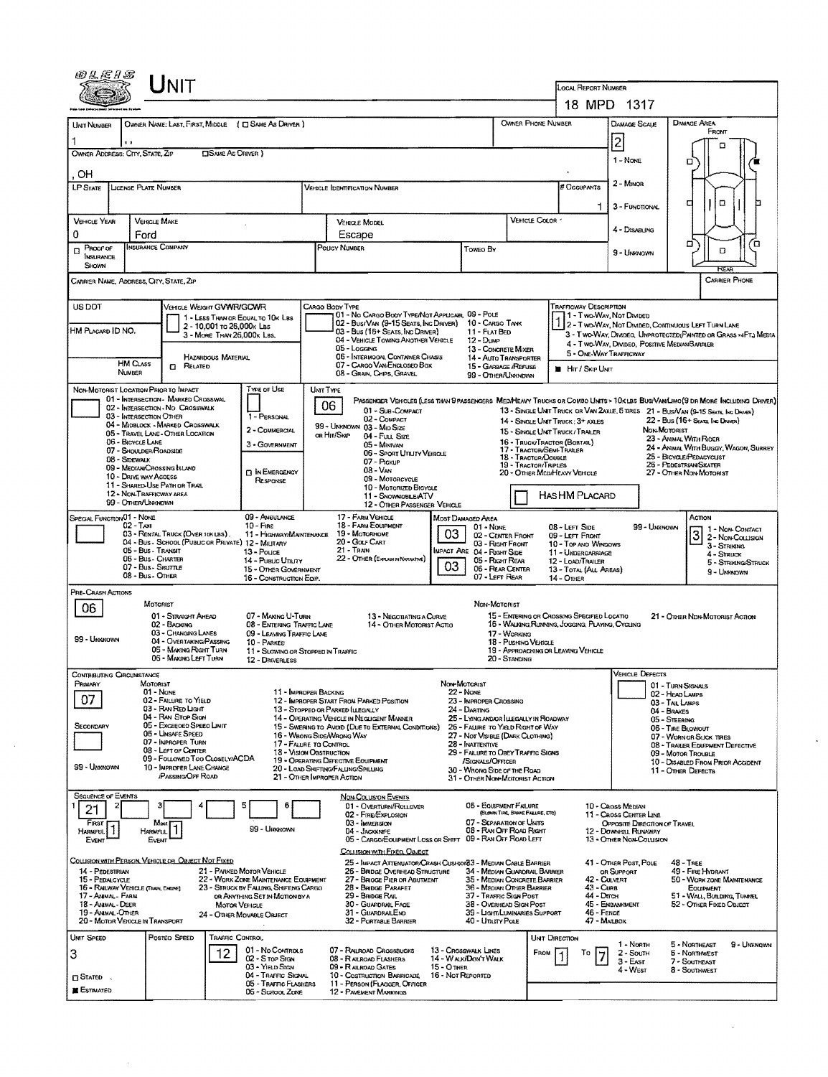|                                                                                                                                                                                                                  | UNIT                                                                                                                                                                                     |                                                                                                  |                                                                                                  |                                                                                           |                                                                                |                                                                               |                                                                               |                                                                                                                               |  |  |  |  |  |
|------------------------------------------------------------------------------------------------------------------------------------------------------------------------------------------------------------------|------------------------------------------------------------------------------------------------------------------------------------------------------------------------------------------|--------------------------------------------------------------------------------------------------|--------------------------------------------------------------------------------------------------|-------------------------------------------------------------------------------------------|--------------------------------------------------------------------------------|-------------------------------------------------------------------------------|-------------------------------------------------------------------------------|-------------------------------------------------------------------------------------------------------------------------------|--|--|--|--|--|
|                                                                                                                                                                                                                  |                                                                                                                                                                                          |                                                                                                  |                                                                                                  | LOCAL REPORT NUMBER                                                                       |                                                                                |                                                                               |                                                                               |                                                                                                                               |  |  |  |  |  |
|                                                                                                                                                                                                                  |                                                                                                                                                                                          |                                                                                                  |                                                                                                  |                                                                                           |                                                                                | 18 MPD 1317<br><b>DAMAGE SCALE</b>                                            |                                                                               |                                                                                                                               |  |  |  |  |  |
| <b>UNT NUMBER</b>                                                                                                                                                                                                | OWNER NAME: LAST, FIRST, MIDDLE ( C) SAME AS DRIVER )                                                                                                                                    |                                                                                                  |                                                                                                  |                                                                                           |                                                                                | OWNER PHONE NUMBER                                                            | DAMAGE AREA<br>FRONT                                                          |                                                                                                                               |  |  |  |  |  |
| $\blacksquare$<br>OWNER ADDRESS: CITY, STATE, ZIP                                                                                                                                                                | <b>CISAME AS ORIVER 1</b>                                                                                                                                                                |                                                                                                  | 2<br>1 - None                                                                                    |                                                                                           |                                                                                |                                                                               |                                                                               |                                                                                                                               |  |  |  |  |  |
|                                                                                                                                                                                                                  | ם<br>OН                                                                                                                                                                                  |                                                                                                  |                                                                                                  |                                                                                           |                                                                                |                                                                               |                                                                               |                                                                                                                               |  |  |  |  |  |
| LP STATE                                                                                                                                                                                                         | LICENSE PLATE NUMBER                                                                                                                                                                     | # Occupants                                                                                      | 2 - MINOR                                                                                        |                                                                                           |                                                                                |                                                                               |                                                                               |                                                                                                                               |  |  |  |  |  |
|                                                                                                                                                                                                                  |                                                                                                                                                                                          |                                                                                                  |                                                                                                  |                                                                                           |                                                                                | 3 - FUNCTIONAL                                                                | O<br>а                                                                        |                                                                                                                               |  |  |  |  |  |
| <b>VEHICLE YEAR</b>                                                                                                                                                                                              | <b>VEHICLE MAKE</b>                                                                                                                                                                      |                                                                                                  | <b>VEHICLE MODEL</b>                                                                             |                                                                                           |                                                                                | VEHICLE COLOR -                                                               | 4 - Disabling                                                                 |                                                                                                                               |  |  |  |  |  |
| 0<br>PROOF OF<br>П                                                                                                                                                                                               | Ford<br><b>INSURANCE COMPANY</b>                                                                                                                                                         |                                                                                                  | Escape<br>POUCY NUMBER                                                                           | Toweo By                                                                                  |                                                                                |                                                                               | 9 - Unknown                                                                   | □<br>o<br>D                                                                                                                   |  |  |  |  |  |
| INSURANCE<br>SHOWN                                                                                                                                                                                               |                                                                                                                                                                                          |                                                                                                  |                                                                                                  |                                                                                           |                                                                                |                                                                               |                                                                               |                                                                                                                               |  |  |  |  |  |
| <b>CARRIER PHONE</b><br>CARRIER NAME, ADDRESS, CITY, STATE, ZIP                                                                                                                                                  |                                                                                                                                                                                          |                                                                                                  |                                                                                                  |                                                                                           |                                                                                |                                                                               |                                                                               |                                                                                                                               |  |  |  |  |  |
| US DOT<br><b>TRAFFICWAY DESCRIPTION</b><br>VEHICLE WEIGHT GWWR/GCWR<br>CARGO BODY TYPE<br>01 - No CARGO BOOY TYPE/NOT APPLICABL 09 - POLE<br>11 - Two Way, Not Divided<br>1 - LESS THAN OR EQUAL TO 10K LBS      |                                                                                                                                                                                          |                                                                                                  |                                                                                                  |                                                                                           |                                                                                |                                                                               |                                                                               |                                                                                                                               |  |  |  |  |  |
| HM PLACARD ID NO.                                                                                                                                                                                                | 2 - 10,001 to 26,000k Las<br>3 - MORE THAN 26,000K LBS.                                                                                                                                  |                                                                                                  | 02 - Bus/Van (9-15 Seats, Ing Driver)<br>03 - Bus (16+ Seats, Inc Driver)                        | 11 - Flat Bed                                                                             | 10 - Cargo Tank                                                                |                                                                               |                                                                               | 2 - Two-Way, Not Divided, Continuous LEFT TURN LANE<br>3 - Two-Way, Divideo, Unprotected Painted or Grass >4FT.; Media        |  |  |  |  |  |
|                                                                                                                                                                                                                  |                                                                                                                                                                                          |                                                                                                  | 04 - VEHICLE TOWING ANOTHER VEHICLE<br>05 - Locano                                               | 12 - Dump                                                                                 | 13 - CONCRETE MIXER                                                            |                                                                               | 4 - Two-Way, Divideo, Positive Median Barrier<br>5 - ONE-WAY TRAFFICWAY       |                                                                                                                               |  |  |  |  |  |
| <b>HM CLASS</b><br>NUMBER                                                                                                                                                                                        | HAZARDOUS MATERIAL<br>$\Box$ Related                                                                                                                                                     |                                                                                                  | 06 - INTERMOOAL CONTAINER CHASIS<br>07 - CARGO VAN/ENGLOSEO BOX                                  | 14 - AUTO TRANSPORTER<br>15 - GARBAGE /REFUSE                                             | <b>HIT / SKIP UNIT</b>                                                         |                                                                               |                                                                               |                                                                                                                               |  |  |  |  |  |
| NON-MOTORIST LOCATION PRIOR TO IMPACT                                                                                                                                                                            |                                                                                                                                                                                          | TYPE OF USE                                                                                      | 08 - GRAIN, CHIPS, GRAVEL<br>UNT TYPE                                                            |                                                                                           | 99 - OTHER/UNKNDWN                                                             |                                                                               |                                                                               |                                                                                                                               |  |  |  |  |  |
|                                                                                                                                                                                                                  | 01 - INTERSECTION - MARKED CROSSWAL<br>02 - INTERSECTION - NO CROSSWALK                                                                                                                  |                                                                                                  | 06                                                                                               |                                                                                           |                                                                                |                                                                               |                                                                               | PASSENGER VEHICLES (LESS THAN 9 PASSENGERS MED/HEAVY TRUCKS OR COMBO UNITS > 10K LBS BUS/VAN/LIMO(9 DR MORE INCLUDING DRIVER) |  |  |  |  |  |
|                                                                                                                                                                                                                  | 03 - INTERSECTION OTHER<br>04 - Midblock - Marked Crosswalk                                                                                                                              | 1 - PERSONAL                                                                                     | 01 - Sub-COMPACT<br>02 - COMPACT<br>99 - UNKNOWN 03 - MIO SIZE                                   |                                                                                           |                                                                                | 14 - SINGLE UNIT TRUCK: 3+ AXLES                                              |                                                                               | 13 - SINGLE UNT TRUCK OR VAN 2AXLE, 5 TRES 21 - BUS/VAN (9-15 Seats, Ing DRAVER)<br>22 - Bus (16+ Seats Inc Draven)           |  |  |  |  |  |
| 06 - BICYCLE LANE                                                                                                                                                                                                | 05 - TRAVEL LANE - OTHER LOCATION                                                                                                                                                        | 2 - COMMERCIAL<br>3 - GOVERNMENT                                                                 | OR HIT/SKIP<br>04 - Fuu, Size<br>05 - Mintvan                                                    |                                                                                           |                                                                                | 15 - SINGLE UNIT TRUCK / TRAILER<br>16 - Truck/Tractor (Bostail)              | NON-MOTORIST<br>23 - ANMAL WITH RIDER                                         |                                                                                                                               |  |  |  |  |  |
| 08 - SIDEWALK                                                                                                                                                                                                    | 07 - Shoulder/Roadside                                                                                                                                                                   |                                                                                                  | 06 - Sport Unuty Verscus<br>07 - PICKUP                                                          |                                                                                           |                                                                                | 17 - Tractor/Semi-Traller<br>18 - TRACTOR/DOUBLE<br>19 - Tractor/Triples      |                                                                               | 24 - ANIMAL WITH BUGGY, WAGON, SURREY<br>25 - BICYCLE/PEDACYCLIST<br>26 - PEDESTRIAN/SKATER                                   |  |  |  |  |  |
| 10 - DRIVE WAY ACCESS                                                                                                                                                                                            | 09 - MEDIAN/CROSSING ISLAND                                                                                                                                                              | <b>D</b> IN EMERGENCY<br>RESPONSE                                                                | 08 - VAN<br>09 - MOTORCYCLE                                                                      |                                                                                           | 20 - OTHER MEDIMEANY VEHICLE                                                   | 27 - OTHER NON-MOTORIST                                                       |                                                                               |                                                                                                                               |  |  |  |  |  |
|                                                                                                                                                                                                                  | 11 - SHARED-USE PATH OR TRAIL<br>10 - MOTORIZED BICYCLE<br>12 - NON-TRAFFICWAY AREA<br><b>HASHM PLACARD</b><br>11 - SNOWMOBILE/ATV<br>99 - OTHER/UNKNOWN<br>12 - OTHER PASSENGER VEHICLE |                                                                                                  |                                                                                                  |                                                                                           |                                                                                |                                                                               |                                                                               |                                                                                                                               |  |  |  |  |  |
| SPECIAL FUNCTION 01 - NONE                                                                                                                                                                                       |                                                                                                                                                                                          | 09 - AMBULANCE                                                                                   | 17 - FARM VEHICLE                                                                                | Most Damaged Area                                                                         |                                                                                |                                                                               |                                                                               | Астом                                                                                                                         |  |  |  |  |  |
| 02 - Тахг                                                                                                                                                                                                        | 03 - RENTAL TRUCK (OVER 18K LBS).<br>04 - Bus - School (Public or Private) 12 - Military                                                                                                 | $10 -$ Fine<br>11 - HIGHWAY/MAINTENANCE                                                          | 18 - FARM EOUPMENT<br>19 - MOTORHOME<br>20 - Golf Cart                                           | 01 - None<br>03                                                                           | 02 - CENTER FRONT<br>03 - RIGHT FRONT                                          | 08 - LEFT SIDE<br>09 - LEFT FRONT                                             | 99 - Unknown                                                                  | 1 1 - Non-Comact<br>3<br>2 - Non-Coursion                                                                                     |  |  |  |  |  |
|                                                                                                                                                                                                                  | 05 - Bus - Transit<br>06 - Bus - Charter                                                                                                                                                 | 13 - Pouce<br>14 - Pusuc Unury                                                                   | 21 - TRAIN<br>22 - OTHER (EXPLAIN IN NAVIATIVE)                                                  | IMPACT ARE 04 - RIGHT SIDE                                                                | 05 - Right Rear                                                                | 10 - Top and Windows<br>11 - UNDERCARRIAGE<br>12 - LOAD/TRAILER               |                                                                               | 3 - STRIKING<br>4 - Struck<br>5 - Striking/Struck                                                                             |  |  |  |  |  |
|                                                                                                                                                                                                                  | 07 - Bus - SHUTTLE<br>08 - Bus - Other                                                                                                                                                   | 15 - Other Government<br>16 - CONSTRUCTION EOIP.                                                 |                                                                                                  | 03                                                                                        | 06 - REAR CENTER<br>07 - LEFT FLEAR                                            | 13 - TOTAL (ALL AREAS)<br>14 - Отнев                                          |                                                                               | 9 - Unknown                                                                                                                   |  |  |  |  |  |
| PRE-CRASH ACTIONS                                                                                                                                                                                                |                                                                                                                                                                                          |                                                                                                  |                                                                                                  |                                                                                           |                                                                                |                                                                               |                                                                               |                                                                                                                               |  |  |  |  |  |
| 06                                                                                                                                                                                                               | MOTORIST<br>01 - STRAIGHT AMEAD                                                                                                                                                          | 07 - MAKING U-TURN                                                                               | 13 - Negotiating a Curve                                                                         | NON-MOTORIST                                                                              |                                                                                | 15 - ENTERING OR CROSSING SPECIFIED LOCATIO<br>21 - OTHER NDN-MOTORIST ACTION |                                                                               |                                                                                                                               |  |  |  |  |  |
| 99 - UNKNOWN                                                                                                                                                                                                     | 02 - BACKING<br>03 - CHANGING LANES                                                                                                                                                      | 08 - ENTERING TRAFFIC LANE<br>09 - LEAVING TRAFFIC LANE                                          | 14 - OTHER MOTORIST ACTIO                                                                        |                                                                                           | 17 - WORKING                                                                   | 16 - WALKING RUNNING, JOGGING, PLAYING, CYCLING                               |                                                                               |                                                                                                                               |  |  |  |  |  |
|                                                                                                                                                                                                                  | 04 - OVERTAKING/PASSING<br>05 - MAKING RIGHT TURN<br>06 - MAKING LEFT TURN                                                                                                               | 10 - PARKED<br>11 - SLOWING OR STOPPED IN TRAFFIC                                                |                                                                                                  |                                                                                           | 18 - Pusrang Vehicle                                                           | 19 - APPROACHING OR LEAVING VEHICLE                                           |                                                                               |                                                                                                                               |  |  |  |  |  |
| <b>CONTRIBUTING CIRCUMSTANCE</b>                                                                                                                                                                                 |                                                                                                                                                                                          | 12 - DRIVERLESS                                                                                  |                                                                                                  |                                                                                           | 20 - STANDING                                                                  |                                                                               | <b>VEHICLE DEFECTS</b>                                                        |                                                                                                                               |  |  |  |  |  |
| PRIMARY                                                                                                                                                                                                          | MOTORIST<br>01 - NONE                                                                                                                                                                    |                                                                                                  | 11 - IMPROPER BACKING                                                                            | Non-MOTORIST<br>22 - None                                                                 |                                                                                |                                                                               |                                                                               | 01 - Turn Signals                                                                                                             |  |  |  |  |  |
| 07                                                                                                                                                                                                               | 02 - FAILURE TO YIELD<br>03 - RAN REO LIGHT                                                                                                                                              |                                                                                                  | 12 - IMPROPER START FROM PARKED POSITION<br>13 - Stoppeo or Parked ILLEGALLY                     | 23 - IMPROPER CROSSING<br>24 - DARTING                                                    |                                                                                |                                                                               | 02 - HEAD LAMPS<br>03 - TAIL LAMPS<br>04 - BRAKES                             |                                                                                                                               |  |  |  |  |  |
| SECONDARY                                                                                                                                                                                                        | 04 - RAN STOP SIGN<br>05 - Exceeded Speed Limit                                                                                                                                          |                                                                                                  | 14 - OPERATING VEHICLE IN NEGLIGENT MANNER<br>15 - SWERING TO AVOID (DUE TO EXTERNAL CONDITIONS) | 25 - LYING ANDIOR LUEGALLY IN ROADWAY<br>26 - FALURE TO YIELD RIGHT OF WAY                |                                                                                |                                                                               |                                                                               | 05 - STEERING<br>06 - TIRE BLOWOUT                                                                                            |  |  |  |  |  |
|                                                                                                                                                                                                                  | 06 - UNSAFE SPEED<br>07 - IMPROPER TURN<br>08 - LEFT OF CENTER                                                                                                                           |                                                                                                  | 16 - WRONG SIDE/WRONG WAY<br>17 - FALURE TO CONTROL<br>18 - Vision OBSTRUCTION                   | 27 - Not Visible (DARK Clothing)<br>28 - Inattentive<br>29 - FALURE TO OBEY TRAFFIC SIGNS |                                                                                | 07 - WORN OR SLICK TIRES<br>08 - TRAILER EQUIPMENT DEFECTIVE                  |                                                                               |                                                                                                                               |  |  |  |  |  |
| 99 - Unknown                                                                                                                                                                                                     | 09 - FOLLOWED TOO CLOSELY/ACDA<br>10 - IMPROPER LANE CHANGE                                                                                                                              |                                                                                                  | 19 - OPERATING DEFECTIVE EQUIPMENT<br>20 - LOAD SHIFTING/FALLING/SPILLING                        | /Stonals/Officer<br>30 - WRONG SIDE OF THE ROAD                                           |                                                                                | 09 - Motor Trousle<br>10 - DISABLED FROM PRIOR ACCIDENT<br>11 - Other Defects |                                                                               |                                                                                                                               |  |  |  |  |  |
|                                                                                                                                                                                                                  | <b><i>IPASSING OFF ROAD</i></b>                                                                                                                                                          |                                                                                                  | 21 - OTHER IMPROPER ACTION                                                                       | 31 - OTHER NON-MOTORIST ACTION                                                            |                                                                                |                                                                               |                                                                               |                                                                                                                               |  |  |  |  |  |
| <b>SEQUENCE OF EVENTS</b><br>21                                                                                                                                                                                  |                                                                                                                                                                                          | 6                                                                                                | <b>NON-COLLISION EVENTS</b><br>01 - OVERTURN/ROLLOVER                                            |                                                                                           | 06 - EQUIPMENT FAILURE                                                         |                                                                               | 10 - Cross Median                                                             |                                                                                                                               |  |  |  |  |  |
| FIRST                                                                                                                                                                                                            |                                                                                                                                                                                          | 99 - Umanown                                                                                     | 02 - FIRE/EXPLOSION<br>03 - IMMERSION                                                            |                                                                                           | (BLOWN TIRE, BRAKE FAILURE, ETC)<br>07 - SEPARATION OF UNITS                   |                                                                               | 11 - CROSS CENTER LINE<br>OPPOSITE DIRECTION OF TRAVEL                        |                                                                                                                               |  |  |  |  |  |
| HARMFUL<br>EVENT                                                                                                                                                                                                 | HARMFUL <sup>1</sup><br>Event                                                                                                                                                            |                                                                                                  | 04 - JACKKNIFE<br>05 - CARGO/EQUIPMENT LOSS OR SHIFT                                             |                                                                                           | 08 - RAN OFF ROAD RIGHT<br>09 - RAN OFF ROAD LEFT                              |                                                                               | 12 - DOWNHILL RUNAWAY<br>13 - OTHER NON-COLLISION                             |                                                                                                                               |  |  |  |  |  |
|                                                                                                                                                                                                                  | COLLISION WITH PERSON, VEHICLE OR OBJECT NOT FIXED                                                                                                                                       |                                                                                                  | COLUSION WITH FIXED, OBJECT<br>25 - IMPACT ATTENUATOR/CRASH CUSHIONS3 - MEDIAN CABLE BARRIER     |                                                                                           |                                                                                |                                                                               | 41 - Other Post, Pole                                                         | $48 - \text{Tree}$                                                                                                            |  |  |  |  |  |
| 14 - PEDESTRIAN<br>15 - PEDALCYCLE                                                                                                                                                                               |                                                                                                                                                                                          | 21 - PARKED MOTOR VEHICLE<br>22 - WORK ZONE MAINTENANCE EQUIPMENT                                | 26 - BRIDGE OVERHEAD STRUCTURE<br>27 - BRIGGE PIER OR ABUTMENT                                   |                                                                                           | 34 - MEDIAN GUARDRAIL BARRIER<br>35 - MEDIAN CONCRETE BARRIER                  |                                                                               | 49 - FIRE HYDRANT<br>OR SUPPORT<br>42 - CULVERT<br>50 - WORK ZONE MAINTENANCE |                                                                                                                               |  |  |  |  |  |
| 16 - RAILWAY VEHICLE (TRAIN, ENGINE)<br>17 - ANNAL - FARN<br>18 - Animal - Deer                                                                                                                                  |                                                                                                                                                                                          | 23 - STRUCK BY FALLING, SHIFTING CARGO<br>OR ANYTHING SET IN MOTION BY A<br><b>MOTOR VEHICLE</b> | 28 - Bridge PARAPET<br>29 - BRIDGE RAIL<br>30 - GUARDRAIL FACE                                   |                                                                                           | 36 - MEDIAN OTHER BARRIER<br>37 - TRAFFIC SIGN POST<br>38 - OVERHEAD SIGN POST | $43 - C$ una<br>44 - Drran                                                    | 45 - EMBANKMENT                                                               | EQUIPMENT<br>51 - WALL BUILDING, TUNNEL<br>52 - OTHER FIXED OBJECT                                                            |  |  |  |  |  |
| 19 - ANMAL OTHER<br>31 - GUARDRAILEND<br>39 - LIGHT/LUMINARIES SUPPORT<br>46 - FENCE<br>24 - OTHER MOVABLE OBJECT<br>20 - MOTOR VEHICLE IN TRANSPORT<br>40 - Unury PoLE<br>47 - MAILBOX<br>32 - PORTABLE BARRIER |                                                                                                                                                                                          |                                                                                                  |                                                                                                  |                                                                                           |                                                                                |                                                                               |                                                                               |                                                                                                                               |  |  |  |  |  |
| UNIT SPEED                                                                                                                                                                                                       | Posteo Speed                                                                                                                                                                             | TRAFFIC CONTROL                                                                                  |                                                                                                  |                                                                                           |                                                                                | UNT DIRECTION                                                                 | 1 - NORTH                                                                     | 5 - NORTHEAST<br>9 - UNKNOWN                                                                                                  |  |  |  |  |  |
| 3                                                                                                                                                                                                                | 12                                                                                                                                                                                       | 01 - No Controls<br>02 - S TOP SIGN                                                              | 07 - RAILROAD CROSSBUCKS<br>08 - RAILROAD FLASHERS                                               | 13 - Crosswalk Lines<br>14 - Walk/Don't Walk                                              |                                                                                | FROM<br>То                                                                    | 2 - South<br>$3 -$ East                                                       | <b>6 - NORTHWEST</b><br>7 - Southeast                                                                                         |  |  |  |  |  |
| $\Box$ Stated                                                                                                                                                                                                    |                                                                                                                                                                                          | 03 - YIELD Stan<br>04 - TRAFFIC SIGNAL                                                           | 09 - RALROAD GATES<br>10 - COSTRUCTION BARRICADE                                                 | $15 - 0$ THER<br>16 - Not Reported                                                        |                                                                                |                                                                               | 4 - West                                                                      | 8 - Southwest                                                                                                                 |  |  |  |  |  |
| 05 - TRAFFIC FLASHERS<br>11 - PERSON (FLAGGER, OFFICER<br><b>ESTIMATED</b><br>06 - School Zone<br><b>12 - PAVEMENT MARKINGS</b>                                                                                  |                                                                                                                                                                                          |                                                                                                  |                                                                                                  |                                                                                           |                                                                                |                                                                               |                                                                               |                                                                                                                               |  |  |  |  |  |

 $\mathcal{A}^{\mathcal{A}}$ 

 $\hat{\mathcal{A}}$ 

 $\mathbb{R}^2$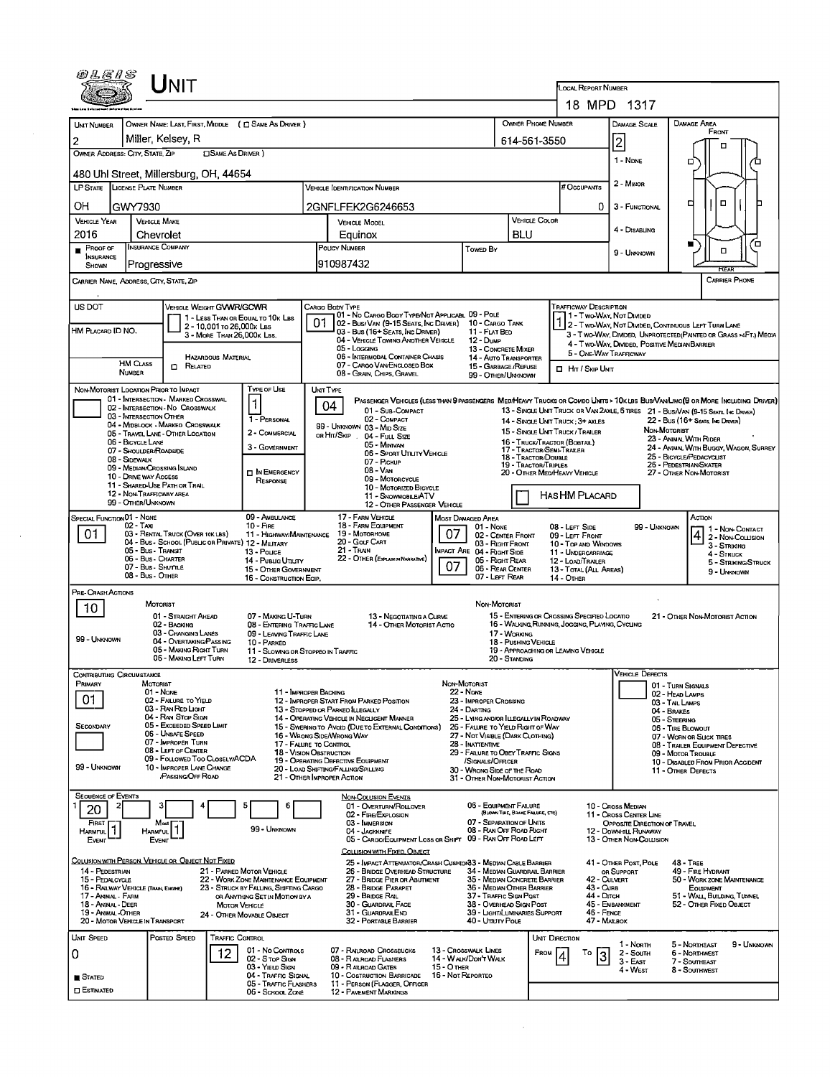|                                                                                                                                                                                                                                                                                                                                                      |                                                                                                                                                                                                                                                             |                                                                                                                                                                                                                                                                                                                                                                                                                                        | LOCAL REPORT NUMBER<br>18 MPD 1317                                                                                                                                                                                                                                                                                                                  |                                                                                                                                                                                      |                                                                                                                                                                                                                                                                                       |                                                                                                                                                                                                                                                                                                                                                                                                            |  |  |
|------------------------------------------------------------------------------------------------------------------------------------------------------------------------------------------------------------------------------------------------------------------------------------------------------------------------------------------------------|-------------------------------------------------------------------------------------------------------------------------------------------------------------------------------------------------------------------------------------------------------------|----------------------------------------------------------------------------------------------------------------------------------------------------------------------------------------------------------------------------------------------------------------------------------------------------------------------------------------------------------------------------------------------------------------------------------------|-----------------------------------------------------------------------------------------------------------------------------------------------------------------------------------------------------------------------------------------------------------------------------------------------------------------------------------------------------|--------------------------------------------------------------------------------------------------------------------------------------------------------------------------------------|---------------------------------------------------------------------------------------------------------------------------------------------------------------------------------------------------------------------------------------------------------------------------------------|------------------------------------------------------------------------------------------------------------------------------------------------------------------------------------------------------------------------------------------------------------------------------------------------------------------------------------------------------------------------------------------------------------|--|--|
|                                                                                                                                                                                                                                                                                                                                                      |                                                                                                                                                                                                                                                             |                                                                                                                                                                                                                                                                                                                                                                                                                                        |                                                                                                                                                                                                                                                                                                                                                     |                                                                                                                                                                                      |                                                                                                                                                                                                                                                                                       |                                                                                                                                                                                                                                                                                                                                                                                                            |  |  |
| <b>UNT NUMBER</b>                                                                                                                                                                                                                                                                                                                                    | OWNER NAME: LAST, FIRST, MIDDLE ( C SAME AS DRIVER )                                                                                                                                                                                                        |                                                                                                                                                                                                                                                                                                                                                                                                                                        | OWNER PHONE NUMBER                                                                                                                                                                                                                                                                                                                                  |                                                                                                                                                                                      | DAMAGE SCALE                                                                                                                                                                                                                                                                          | DAMAGE AREA<br>FRONT                                                                                                                                                                                                                                                                                                                                                                                       |  |  |
| 2<br>OWNER ADDRESS: CITY, STATE, ZIP                                                                                                                                                                                                                                                                                                                 | Miller, Kelsey, R<br><b>CISAME AS DRIVER</b> )                                                                                                                                                                                                              |                                                                                                                                                                                                                                                                                                                                                                                                                                        | 614-561-3550                                                                                                                                                                                                                                                                                                                                        |                                                                                                                                                                                      | 2                                                                                                                                                                                                                                                                                     | п                                                                                                                                                                                                                                                                                                                                                                                                          |  |  |
|                                                                                                                                                                                                                                                                                                                                                      |                                                                                                                                                                                                                                                             |                                                                                                                                                                                                                                                                                                                                                                                                                                        |                                                                                                                                                                                                                                                                                                                                                     | 1 - NDNE                                                                                                                                                                             | o                                                                                                                                                                                                                                                                                     |                                                                                                                                                                                                                                                                                                                                                                                                            |  |  |
| 480 Uhl Street, Millersburg, OH, 44654<br>LP STATE LICENSE PLATE NUMBER                                                                                                                                                                                                                                                                              |                                                                                                                                                                                                                                                             | <b>VEHICLE IDENTIFICATION NUMBER</b>                                                                                                                                                                                                                                                                                                                                                                                                   |                                                                                                                                                                                                                                                                                                                                                     | # Occupants                                                                                                                                                                          | 2 - MINOR                                                                                                                                                                                                                                                                             |                                                                                                                                                                                                                                                                                                                                                                                                            |  |  |
| OН<br>GWY7930                                                                                                                                                                                                                                                                                                                                        |                                                                                                                                                                                                                                                             | 2GNFLFEK2G6246653                                                                                                                                                                                                                                                                                                                                                                                                                      |                                                                                                                                                                                                                                                                                                                                                     | 0                                                                                                                                                                                    | 3 - FUNCTIONAL                                                                                                                                                                                                                                                                        | о<br>ᄆ                                                                                                                                                                                                                                                                                                                                                                                                     |  |  |
| <b>VEHICLE YEAR</b><br><b>VEHICLE MAKE</b>                                                                                                                                                                                                                                                                                                           |                                                                                                                                                                                                                                                             | <b>VEHICLE MODEL</b>                                                                                                                                                                                                                                                                                                                                                                                                                   | <b>VEHICLE COLOR</b>                                                                                                                                                                                                                                                                                                                                |                                                                                                                                                                                      |                                                                                                                                                                                                                                                                                       |                                                                                                                                                                                                                                                                                                                                                                                                            |  |  |
| 2016<br>Chevrolet                                                                                                                                                                                                                                                                                                                                    |                                                                                                                                                                                                                                                             | Equinox                                                                                                                                                                                                                                                                                                                                                                                                                                | <b>BLU</b>                                                                                                                                                                                                                                                                                                                                          |                                                                                                                                                                                      | 4 - Disabling                                                                                                                                                                                                                                                                         | 7⊡                                                                                                                                                                                                                                                                                                                                                                                                         |  |  |
| <b>INSURANCE COMPANY</b><br>$P$ ROOF OF<br><b>INSURANCE</b><br> Progressive<br><b>SHOWN</b>                                                                                                                                                                                                                                                          |                                                                                                                                                                                                                                                             | POUCY NUMBER<br>910987432                                                                                                                                                                                                                                                                                                                                                                                                              | Towed By                                                                                                                                                                                                                                                                                                                                            |                                                                                                                                                                                      | 9 - UNKNOWN                                                                                                                                                                                                                                                                           | $\Box$<br>FCF AF                                                                                                                                                                                                                                                                                                                                                                                           |  |  |
| CARRIER NAME, ADDRESS, CITY, STATE, ZIP                                                                                                                                                                                                                                                                                                              |                                                                                                                                                                                                                                                             |                                                                                                                                                                                                                                                                                                                                                                                                                                        |                                                                                                                                                                                                                                                                                                                                                     |                                                                                                                                                                                      |                                                                                                                                                                                                                                                                                       | <b>CARRIER PHONE</b>                                                                                                                                                                                                                                                                                                                                                                                       |  |  |
| US DOT<br>HM PLACARD ID NO.<br><b>HM CLASS</b>                                                                                                                                                                                                                                                                                                       | VEHICLE WEIGHT GVWR/GCWR<br>1 - LESS THAN OR EQUAL TO 10K LBS<br>2 - 10,001 to 26,000x Las<br>3 - MORE THAN 26,000K LBS.<br><b>HAZARDOUS MATERIAL</b>                                                                                                       | CARGO BODY TYPE<br>101 - No Cargo Booy Type/Not Applicabl 09 - Pole<br>02 - Bus/Van (9-15 Seats, Inc Driver) 10 - Cargo Tank<br>03 - Bus (16+ SEATS, INC DRIVER)<br>04 - VEHICLE TOWING ANOTHER VEHICLE<br>05 - Logging<br>06 - INTERMODAL CONTAINER CHASIS                                                                                                                                                                            | 11 - FLAT BED<br>12 - Dump<br>13 - CONCRETE MIXER<br>14 - AUTO TRANSPORTER                                                                                                                                                                                                                                                                          | Trafficway Description<br>11 - Two-Way, Not Divided<br>5 - ONE-WAY TRAFFICWAY                                                                                                        | 4 - Two-Way, Divided, Positive Median Barrier                                                                                                                                                                                                                                         | 2 - Two-WAY, NOT DIVIDED, CONTINUOUS LEFT TURN LANE<br>3 - T WO-WAY, DIVIDED, UNPROTECTED (PAINTED OR GRASS >4FT.) MEOIA                                                                                                                                                                                                                                                                                   |  |  |
| <b>NUMBER</b>                                                                                                                                                                                                                                                                                                                                        | $\Box$ Related                                                                                                                                                                                                                                              | 07 - CARGO VAN ENCLOSED BOX<br>08 - GRAIN, CHIPS, GRAVEL                                                                                                                                                                                                                                                                                                                                                                               | 15 - GARBAGE /REFUSE<br>99 - OTHER/UNKNOWN                                                                                                                                                                                                                                                                                                          | <b>II</b> HIT / SKIP UNIT                                                                                                                                                            |                                                                                                                                                                                                                                                                                       |                                                                                                                                                                                                                                                                                                                                                                                                            |  |  |
| NON-MOTORIST LOCATION PRIOR TO IMPACT<br>02 - INTERSECTION - NO CROSSWALK<br>03 - INTERSECTION OTHER<br>05 - TRAVEL LANE - OTHER LOCATION<br>06 - BICYCLE LANE<br>07 - Shoulder/Roadside<br>08 - SIDEWALK<br>09 - MEDIAN/CROSSING ISLAND<br>10 - DRIVE WAY ACCESS<br>11 - SHARED-USE PATH OR TRAIL<br>12 - NON-TRAFFICWAY AREA<br>99 - OTHER/UNKNOWN | Type of Use<br>01 - INTERSECTION - MARKED CROSSWAL<br>1<br>T - PERSONAL<br>04 - MIDBLOCK - MARKEO CROSSWALK<br>2 - COMMERCIAL<br>3 - GOVERNMENT<br><b>IN EMERGENCY</b><br>RESPONSE                                                                          | UNIT TYPE<br>04<br>01 - Sub-COMPACT<br>02 - COMPACT<br>99 - UNKNOWN 03 - MID SIZE<br>OR HIT/SKIP . 04 - FULL SIZE<br>05 - MINIVAN<br>06 - SPORT UTILITY VEHICLE<br>07 - PICKUP<br>08 - VAN<br>09 - MOTORCYCLE<br>10 - MOTORIZED BICYCLE<br>11 - SNOWMOBILE/ATV<br>12 - OTHER PASSENGER VEHICLE                                                                                                                                         | 18 - TRACTOR/DOUBLE<br>19 - TRACTOR/TRIPLES                                                                                                                                                                                                                                                                                                         | 14 - SINGLE UNIT TRUCK : 3+ AXLES<br>15 - SINGLE UNIT TRUCK / TRAILER<br>16 - TRUCK/TRACTOR (BOBTAIL)<br>17 - TRACTOR/SEMI-TRAILER<br>20 - OTHER MEO/HEAVY VEHICLE<br>HAS HM PLACARD | NON MOTORIST                                                                                                                                                                                                                                                                          | PASSENGER VEHICLES (LESS THAN 9 PASSENGERS MEDIMEANY TRUCKS OR COMBO UNTS > 10K LBS BUS/VAN/LIMO(9 OR MORE INCLUDING DRIVER)<br>13 - SINGLE UNIT TRUCK OR VAN ZAXLE, 6 TIRES 21 - BUS/VAN (9-15 SEATS, INC DRIVER)<br>22 - Bus (16+ Seats, Inc Driver)<br>23 - ANIMAL WITH RIDER<br>24 - ANIMAL WITH BUGGY, WAGON, SURREY<br>25 - BICYCLE/PEDACYCLIST<br>26 - PEDESTRIAN SKATER<br>27 - OTHER NON-MOTORIST |  |  |
| SPECIAL FUNCTION 01 - NONE<br>$02 - TAT$<br>01<br>05 - Bus - Transit<br>06 - Bus - CHARTER<br>07 - Bus - SHUTTLE<br>08 - Bus - OTHER                                                                                                                                                                                                                 | 09 - AMBULANCE<br>$10 -$ Fine<br>03 - RENTAL TRUCK (OVER 10K LBS)<br>11 - HIGHWAY/MAINTENANCE<br>04 - Bus - SCHOOL (PUBLIC OR PRIVATE) 12 - MILITARY<br>13 - Pouce<br>14 - Pusuc Unury<br>15 - OTHER GOVERNMENT<br>16 - CONSTRUCTION EOIP,                  | 17 - FARM VEHICLE<br>18 - FARM EQUIPMENT<br>07<br>19 - Мотовноме<br>20 - Golf Cart<br>21 - TRAIN<br>22 - OTHER (EXPLAN IN NARATIVE)<br>07                                                                                                                                                                                                                                                                                              | MOST DAMAGED AREA<br>01 - NONE<br>02 - CENTER FRONT<br>03 - RIGHT FRONT<br>IMPACT ARE 04 - RIGHT SIDE<br>05 - Right Rear<br>06 - REAR CENTER<br>07 - LEFT REAR                                                                                                                                                                                      | 08 - LEFT SIDE<br>09 - LEFT FRONT<br>10 - Top and Windows<br>11 - UNDERCARRIAGE<br>12 - LOAD/TRAILER<br>13 - TOTAL (ALL AREAS)<br><b>14 - OTHER</b>                                  | 99 - Unknown                                                                                                                                                                                                                                                                          | ACTION<br>1 - Non-Contact<br>$\overline{4}$<br>2 - Non-Collision<br>3 - STRIKING<br>4 - STRUCK<br>5 - STRIKING/STRUCK<br>9 - UNKNOWN                                                                                                                                                                                                                                                                       |  |  |
| PRE- CRASH ACTIONS<br><b>MOTORIST</b><br>10<br>99 - UNKNOWN                                                                                                                                                                                                                                                                                          | 01 - STRAIGHT AHEAD<br>07 - MAKING U-TURN<br>02 - BACKING<br>08 - ENTERING TRAFFIC LANE<br>03 - CHANGING LANES<br>09 - LEAVING TRAFFIC LANE<br>04 - OVERTAKING/PASSING<br>10 - PARKED<br>05 - MAKING RIGHT TURN<br>06 - MAKING LEFT TURN<br>12 - DRIVERLESS | 13 - Negotiating a Curve<br>14 - OTHER MOTORIST ACTIO<br>11 - SLOWING OR STOPPEO IN TRAFFIC                                                                                                                                                                                                                                                                                                                                            | NON-MOTORIST<br>17 - WORKING<br>18 - PUSHING VEHICLE<br>20 - STANDING                                                                                                                                                                                                                                                                               | 15 - ENTERING OR CROSSING SPECIFIED LOCATIO<br>16 - WALKING RUNNING, JOGGING, PLAYING, CYCLING<br>19 - APPROACHING OR LEAVING VEHICLE                                                |                                                                                                                                                                                                                                                                                       | 21 - OTHER NON-MOTORIST ACTION                                                                                                                                                                                                                                                                                                                                                                             |  |  |
| Contributing Circumstance<br>PRIMARY<br>MOTORIST<br>01 - NONE<br>01<br>SECONDARY<br>99 - UNKNOWN                                                                                                                                                                                                                                                     | 02 - FAILURE TO YIELD<br>03 - RAN RED LIGHT<br>04 - RAN STOP SIGN<br>05 - Exceeded Speed LIMIT<br>06 - UNSAFE SPEED<br>07 - IMPROPER TURN<br>08 - LEFT OF CENTER<br>09 - FOLLOWED TOO CLOSELY/ACDA<br>10 - IMPROPER LANE CHANGE<br>/PASSING/OFF ROAD        | 11 - IMPROPER BACKING<br>12 - IMPROPER START FROM PARKED POSITION<br>13 - Stopped or Parked ILLEGALLY<br>14 - OPERATING VEHICLE IN NEGLIGENT MANNER<br>15 - SWERING TO AVOID (DUE TO EXTERNAL CONDITIONS)<br>16 - WRONG SIDE/WRONG WAY<br>17 - FALURE TO CONTROL<br><b>18 - VISION OBSTRUCTION</b><br>19 - OPERATING DEFECTIVE EQUIPMENT<br>20 - LOAD SHIFTING/FALLING/SPILLING<br>21 - OTHER IMPROPER ACTION                          | NON-MOTORIST<br>22 - Nove<br>23 - IMPROPER CROSSING<br>24 - DARTING<br>25 - Lying and/or Illegally in Roadway<br>26 - FALURE TO YIELD RIGHT OF WAY<br>27 - NOT VISIBLE (DARK CLOTHING)<br>28 - Inattentive<br>29 - FALURE TO OBEY TRAFFIC SIGNS<br>/SIGNALS/OFFICER<br>30 - Wrong Side of the Road<br>31 - OTHER NON-MOTORIST ACTION                |                                                                                                                                                                                      | <b>VEHICLE DEFECTS</b><br>01 - TURN SIGNALS<br>02 HEAD LAMPS<br>03 - TAIL LAMPS<br>04 - BRAKES<br>05 - STEERING<br>06 - TIRE BLOWOUT<br>07 - WORN OR SLICK TIRES<br>08 - TRAILER EQUIPMENT DEFECTIVE<br>09 - Motor Trouble<br>10 - DISABLED FROM PRIOR ACCIDENT<br>11 - OTHER DEFECTS |                                                                                                                                                                                                                                                                                                                                                                                                            |  |  |
| <b>SEQUENCE OF EVENTS</b><br>20<br>FIRST<br>Mos<br>HARMFUL <sup>1</sup><br><b>HARMFUL</b><br>EVENT<br>Event<br>COLUSION WITH PERSON, VEHICLE OR OBJECT NOT FIXED<br>14 - PEDESTRIAN<br>15 - PEDALCYCLE<br>16 - RAILWAY VEHICLE (TRAN), ENGINE)<br>17 - Animal - Farm<br>18 - Animal - Deer<br>19 - Animal -OTHER<br>20 - MOTOR VEHICLE IN TRANSPORT  | 6<br>99 - UNKNOWN<br>21 - PARKED MOTOR VEHICLE<br>22 - WORK ZONE MAINTENANCE EQUIPMENT<br>23 - STRUCK BY FALLING, SHIFTING CARGO<br>OR ANYTHING SET IN MOTION BY A<br><b>MOTOR VEHICLE</b><br>24 - OTHER MOVABLE OBJECT                                     | <b>NON-COLUSION EVENTS</b><br>01 - OVERTURN/ROLLOVER<br>02 - FIRE/EXPLOSION<br>03 - IMMERSION<br>04 - JACKNIFE<br>05 - CARGO/EQUIPMENT LOSS OR SHIFT<br>COLLISION WITH FIXED, OBJECT<br>25 - Impact Attenuator/Crash Cushion 3 - Median Cable Barrier<br>26 - BRIDGE OVERHEAD STRUCTURE<br>27 - BRIDGE PIER OR ABUTNENT<br>28 - Bridge Parapet<br>29 - BRIDGE RAL<br>30 - GUARDRAIL FACE<br>31 - GUARDRAILEND<br>32 - PORTABLE BARRIER | 06 - EQUIPMENT FAILURE<br>(BLOWN TIRE, BRAKE FAILURE, ETC)<br>07 - SEPARATION OF UNITS<br>08 - RAN OFF ROAD RIGHT<br>09 - RAN OFF ROAD LEFT<br>34 - MEDIAN GUARDRAIL BARRIER<br>35 - MEDIAN CONCRETE BARRIER<br>36 - MEDIAN OTHER BARRIER<br>37 - TRAFFIC SIGN POST<br>38 - Overhead Sign Post<br>39 - LIGHT/LUMINARIES SUPPORT<br>40 - UTIUTY POLE | 42 - CULVERT<br>43 - Curs<br>44 - Олтон<br>46 - FENCE<br>47 - MALBOX                                                                                                                 | 10 - Cross Median<br>11 - Cross Center Line<br>OPPOSITE DIRECTION OF TRAVEL<br>12 - DOWNHILL RUNAWAY<br>13 - OTHER NON-COLLISION<br>41 - Other Post, Pole<br>OR SUPPORT<br>45 - EMBANKMENT                                                                                            | <b>48 - TREE</b><br>49 - FIRE HYDRANT<br>50 - WORK ZONE MAINTENANCE<br><b>EQUIPMENT</b><br>51 - WALL BUILDING, TUNNEL<br>52 - OTHER FIXED OBJECT                                                                                                                                                                                                                                                           |  |  |
| UNIT SPEED<br>0<br><b>STATED</b><br><b>C</b> ESTIMATED                                                                                                                                                                                                                                                                                               | <b>TRAFFIC CONTROL</b><br>POSTED SPEED<br>01 - No Controls<br>12<br>02 - S TOP SIGN<br>03 - YIELD SIGN<br>04 - TRAFFIC SIGNAL<br>05 - TRAFFIC FLASHERS<br>06 - SCHOOL ZONE                                                                                  | 07 - RALROAD CROSSBUCKS<br>08 - RALROAD FLASHERS<br>09 - RAILROAD GATES<br>15 - O THER<br>10 - COSTRUCTION BARRICADE<br>11 - PERSON (FLAGGER, OFFICER<br><b>12 - PAVEMENT MARKINGS</b>                                                                                                                                                                                                                                                 | 13 - Crosswalk Lines<br>14 - W ALK/DON'T WALK<br>16 - Not Reporteo                                                                                                                                                                                                                                                                                  | UNIT DIRECTION<br>FROM<br>То                                                                                                                                                         | 1 - North<br>2 - South<br>$3 - E$ AST<br>4 - West                                                                                                                                                                                                                                     | 5 - NORTHEAST<br>9 - UNKNOWN<br>6 - NORTHWEST<br>7 - Southeast<br>8 - Southwest                                                                                                                                                                                                                                                                                                                            |  |  |

 $\mathcal{L}^{\text{max}}_{\text{max}}$  ,  $\mathcal{L}^{\text{max}}_{\text{max}}$